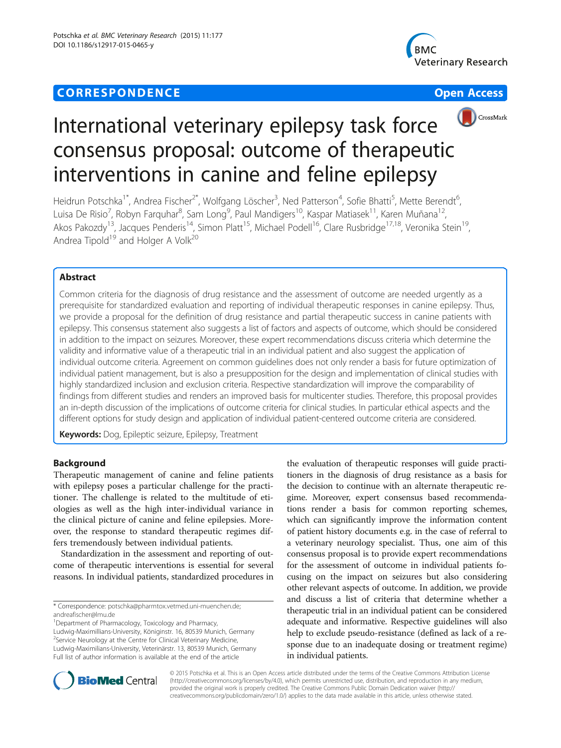## **CORRESPONDENCE CORRESPONDENCE** *CORRESPONDENCE*







# International veterinary epilepsy task force consensus proposal: outcome of therapeutic interventions in canine and feline epilepsy

Heidrun Potschka<sup>1\*</sup>, Andrea Fischer<sup>2\*</sup>, Wolfgang Löscher<sup>3</sup>, Ned Patterson<sup>4</sup>, Sofie Bhatti<sup>5</sup>, Mette Berendt<sup>6</sup> , Luisa De Risio<sup>7</sup>, Robyn Farquhar<sup>8</sup>, Sam Long<sup>9</sup>, Paul Mandigers<sup>10</sup>, Kaspar Matiasek<sup>11</sup>, Karen Muñana<sup>12</sup>, Akos Pakozdy<sup>13</sup>, Jacques Penderis<sup>14</sup>, Simon Platt<sup>15</sup>, Michael Podell<sup>16</sup>, Clare Rusbridge<sup>17,18</sup>, Veronika Stein<sup>19</sup>, Andrea Tipold<sup>19</sup> and Holger A Volk<sup>20</sup>

## Abstract

Common criteria for the diagnosis of drug resistance and the assessment of outcome are needed urgently as a prerequisite for standardized evaluation and reporting of individual therapeutic responses in canine epilepsy. Thus, we provide a proposal for the definition of drug resistance and partial therapeutic success in canine patients with epilepsy. This consensus statement also suggests a list of factors and aspects of outcome, which should be considered in addition to the impact on seizures. Moreover, these expert recommendations discuss criteria which determine the validity and informative value of a therapeutic trial in an individual patient and also suggest the application of individual outcome criteria. Agreement on common guidelines does not only render a basis for future optimization of individual patient management, but is also a presupposition for the design and implementation of clinical studies with highly standardized inclusion and exclusion criteria. Respective standardization will improve the comparability of findings from different studies and renders an improved basis for multicenter studies. Therefore, this proposal provides an in-depth discussion of the implications of outcome criteria for clinical studies. In particular ethical aspects and the different options for study design and application of individual patient-centered outcome criteria are considered.

Keywords: Dog, Epileptic seizure, Epilepsy, Treatment

## Background

Therapeutic management of canine and feline patients with epilepsy poses a particular challenge for the practitioner. The challenge is related to the multitude of etiologies as well as the high inter-individual variance in the clinical picture of canine and feline epilepsies. Moreover, the response to standard therapeutic regimes differs tremendously between individual patients.

Standardization in the assessment and reporting of outcome of therapeutic interventions is essential for several reasons. In individual patients, standardized procedures in

<sup>1</sup>Department of Pharmacology, Toxicology and Pharmacy,

Ludwig-Maximillians-University, Königinstr. 16, 80539 Munich, Germany <sup>2</sup>Service Neurology at the Centre for Clinical Veterinary Medicine, Ludwig-Maximilians-University, Veterinärstr. 13, 80539 Munich, Germany Full list of author information is available at the end of the article

the evaluation of therapeutic responses will guide practitioners in the diagnosis of drug resistance as a basis for the decision to continue with an alternate therapeutic regime. Moreover, expert consensus based recommendations render a basis for common reporting schemes, which can significantly improve the information content of patient history documents e.g. in the case of referral to a veterinary neurology specialist. Thus, one aim of this consensus proposal is to provide expert recommendations for the assessment of outcome in individual patients focusing on the impact on seizures but also considering other relevant aspects of outcome. In addition, we provide and discuss a list of criteria that determine whether a therapeutic trial in an individual patient can be considered adequate and informative. Respective guidelines will also help to exclude pseudo-resistance (defined as lack of a response due to an inadequate dosing or treatment regime) in individual patients.



© 2015 Potschka et al. This is an Open Access article distributed under the terms of the Creative Commons Attribution License [\(http://creativecommons.org/licenses/by/4.0\)](http://creativecommons.org/licenses/by/4.0), which permits unrestricted use, distribution, and reproduction in any medium, provided the original work is properly credited. The Creative Commons Public Domain Dedication waiver [\(http://](http://creativecommons.org/publicdomain/zero/1.0/) [creativecommons.org/publicdomain/zero/1.0/\)](http://creativecommons.org/publicdomain/zero/1.0/) applies to the data made available in this article, unless otherwise stated.

<sup>\*</sup> Correspondence: [potschka@pharmtox.vetmed.uni-muenchen.de](mailto:potschka@pharmtox.vetmed.uni-muenchen.de); [andreafischer@lmu.de](mailto:andreafischer@lmu.de)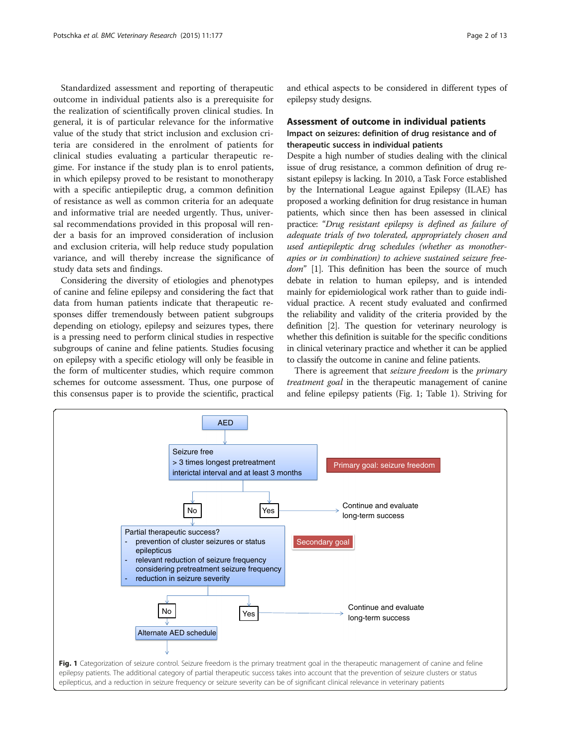<span id="page-1-0"></span>Standardized assessment and reporting of therapeutic outcome in individual patients also is a prerequisite for the realization of scientifically proven clinical studies. In general, it is of particular relevance for the informative value of the study that strict inclusion and exclusion criteria are considered in the enrolment of patients for clinical studies evaluating a particular therapeutic regime. For instance if the study plan is to enrol patients, in which epilepsy proved to be resistant to monotherapy with a specific antiepileptic drug, a common definition of resistance as well as common criteria for an adequate and informative trial are needed urgently. Thus, universal recommendations provided in this proposal will render a basis for an improved consideration of inclusion and exclusion criteria, will help reduce study population variance, and will thereby increase the significance of study data sets and findings.

Considering the diversity of etiologies and phenotypes of canine and feline epilepsy and considering the fact that data from human patients indicate that therapeutic responses differ tremendously between patient subgroups depending on etiology, epilepsy and seizures types, there is a pressing need to perform clinical studies in respective subgroups of canine and feline patients. Studies focusing on epilepsy with a specific etiology will only be feasible in the form of multicenter studies, which require common schemes for outcome assessment. Thus, one purpose of this consensus paper is to provide the scientific, practical and ethical aspects to be considered in different types of epilepsy study designs.

## Assessment of outcome in individual patients Impact on seizures: definition of drug resistance and of therapeutic success in individual patients

Despite a high number of studies dealing with the clinical issue of drug resistance, a common definition of drug resistant epilepsy is lacking. In 2010, a Task Force established by the International League against Epilepsy (ILAE) has proposed a working definition for drug resistance in human patients, which since then has been assessed in clinical practice: "Drug resistant epilepsy is defined as failure of adequate trials of two tolerated, appropriately chosen and used antiepileptic drug schedules (whether as monotherapies or in combination) to achieve sustained seizure free-dom" [[1](#page-10-0)]. This definition has been the source of much debate in relation to human epilepsy, and is intended mainly for epidemiological work rather than to guide individual practice. A recent study evaluated and confirmed the reliability and validity of the criteria provided by the definition [[2\]](#page-10-0). The question for veterinary neurology is whether this definition is suitable for the specific conditions in clinical veterinary practice and whether it can be applied to classify the outcome in canine and feline patients.

There is agreement that *seizure freedom* is the *primary* treatment goal in the therapeutic management of canine and feline epilepsy patients (Fig. 1; Table [1\)](#page-2-0). Striving for

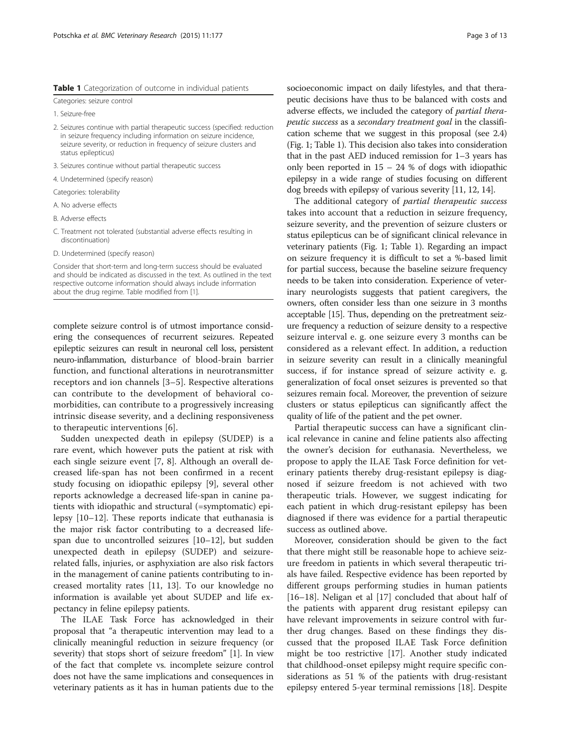<span id="page-2-0"></span>

|  |  | Table 1 Categorization of outcome in individual patients |  |  |  |  |  |
|--|--|----------------------------------------------------------|--|--|--|--|--|
|--|--|----------------------------------------------------------|--|--|--|--|--|

Categories: seizure control

1. Seizure-free

- 2. Seizures continue with partial therapeutic success (specified: reduction in seizure frequency including information on seizure incidence, seizure severity, or reduction in frequency of seizure clusters and status epilepticus)
- 3. Seizures continue without partial therapeutic success
- 4. Undetermined (specify reason)
- Categories: tolerability
- A. No adverse effects
- B. Adverse effects
- C. Treatment not tolerated (substantial adverse effects resulting in discontinuation)
- D. Undetermined (specify reason)

Consider that short-term and long-term success should be evaluated and should be indicated as discussed in the text. As outlined in the text respective outcome information should always include information about the drug regime. Table modified from [\[1](#page-10-0)].

complete seizure control is of utmost importance considering the consequences of recurrent seizures. Repeated epileptic seizures can result in neuronal cell loss, persistent neuro-inflammation, disturbance of blood-brain barrier function, and functional alterations in neurotransmitter receptors and ion channels [[3](#page-10-0)–[5\]](#page-10-0). Respective alterations can contribute to the development of behavioral comorbidities, can contribute to a progressively increasing intrinsic disease severity, and a declining responsiveness to therapeutic interventions [\[6](#page-10-0)].

Sudden unexpected death in epilepsy (SUDEP) is a rare event, which however puts the patient at risk with each single seizure event [[7](#page-10-0), [8](#page-10-0)]. Although an overall decreased life-span has not been confirmed in a recent study focusing on idiopathic epilepsy [[9\]](#page-10-0), several other reports acknowledge a decreased life-span in canine patients with idiopathic and structural (=symptomatic) epilepsy [\[10](#page-10-0)–[12\]](#page-10-0). These reports indicate that euthanasia is the major risk factor contributing to a decreased lifespan due to uncontrolled seizures [\[10](#page-10-0)–[12\]](#page-10-0), but sudden unexpected death in epilepsy (SUDEP) and seizurerelated falls, injuries, or asphyxiation are also risk factors in the management of canine patients contributing to increased mortality rates [[11](#page-10-0), [13](#page-10-0)]. To our knowledge no information is available yet about SUDEP and life expectancy in feline epilepsy patients.

The ILAE Task Force has acknowledged in their proposal that "a therapeutic intervention may lead to a clinically meaningful reduction in seizure frequency (or severity) that stops short of seizure freedom" [\[1\]](#page-10-0). In view of the fact that complete vs. incomplete seizure control does not have the same implications and consequences in veterinary patients as it has in human patients due to the

socioeconomic impact on daily lifestyles, and that therapeutic decisions have thus to be balanced with costs and adverse effects, we included the category of partial therapeutic success as a secondary treatment goal in the classification scheme that we suggest in this proposal (see 2.4) (Fig. [1](#page-1-0); Table 1). This decision also takes into consideration that in the past AED induced remission for 1–3 years has only been reported in  $15 - 24$  % of dogs with idiopathic epilepsy in a wide range of studies focusing on different dog breeds with epilepsy of various severity [[11](#page-10-0), [12, 14\]](#page-10-0).

The additional category of *partial therapeutic success* takes into account that a reduction in seizure frequency, seizure severity, and the prevention of seizure clusters or status epilepticus can be of significant clinical relevance in veterinary patients (Fig. [1](#page-1-0); Table 1). Regarding an impact on seizure frequency it is difficult to set a %-based limit for partial success, because the baseline seizure frequency needs to be taken into consideration. Experience of veterinary neurologists suggests that patient caregivers, the owners, often consider less than one seizure in 3 months acceptable [[15](#page-10-0)]. Thus, depending on the pretreatment seizure frequency a reduction of seizure density to a respective seizure interval e. g. one seizure every 3 months can be considered as a relevant effect. In addition, a reduction in seizure severity can result in a clinically meaningful success, if for instance spread of seizure activity e. g. generalization of focal onset seizures is prevented so that seizures remain focal. Moreover, the prevention of seizure clusters or status epilepticus can significantly affect the quality of life of the patient and the pet owner.

Partial therapeutic success can have a significant clinical relevance in canine and feline patients also affecting the owner's decision for euthanasia. Nevertheless, we propose to apply the ILAE Task Force definition for veterinary patients thereby drug-resistant epilepsy is diagnosed if seizure freedom is not achieved with two therapeutic trials. However, we suggest indicating for each patient in which drug-resistant epilepsy has been diagnosed if there was evidence for a partial therapeutic success as outlined above.

Moreover, consideration should be given to the fact that there might still be reasonable hope to achieve seizure freedom in patients in which several therapeutic trials have failed. Respective evidence has been reported by different groups performing studies in human patients [[16](#page-11-0)–[18](#page-11-0)]. Neligan et al [[17\]](#page-11-0) concluded that about half of the patients with apparent drug resistant epilepsy can have relevant improvements in seizure control with further drug changes. Based on these findings they discussed that the proposed ILAE Task Force definition might be too restrictive [\[17\]](#page-11-0). Another study indicated that childhood-onset epilepsy might require specific considerations as 51 % of the patients with drug-resistant epilepsy entered 5-year terminal remissions [[18](#page-11-0)]. Despite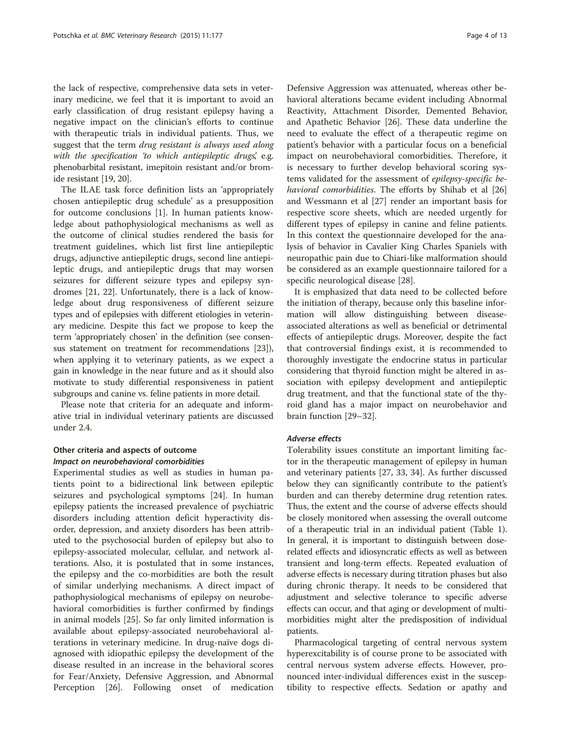the lack of respective, comprehensive data sets in veterinary medicine, we feel that it is important to avoid an early classification of drug resistant epilepsy having a negative impact on the clinician's efforts to continue with therapeutic trials in individual patients. Thus, we suggest that the term drug resistant is always used along with the specification 'to which antiepileptic drugs', e.g. phenobarbital resistant, imepitoin resistant and/or bromide resistant [\[19](#page-11-0), [20](#page-11-0)].

The ILAE task force definition lists an 'appropriately chosen antiepileptic drug schedule' as a presupposition for outcome conclusions [[1\]](#page-10-0). In human patients knowledge about pathophysiological mechanisms as well as the outcome of clinical studies rendered the basis for treatment guidelines, which list first line antiepileptic drugs, adjunctive antiepileptic drugs, second line antiepileptic drugs, and antiepileptic drugs that may worsen seizures for different seizure types and epilepsy syndromes [[21, 22](#page-11-0)]. Unfortunately, there is a lack of knowledge about drug responsiveness of different seizure types and of epilepsies with different etiologies in veterinary medicine. Despite this fact we propose to keep the term 'appropriately chosen' in the definition (see consensus statement on treatment for recommendations [[23](#page-11-0)]), when applying it to veterinary patients, as we expect a gain in knowledge in the near future and as it should also motivate to study differential responsiveness in patient subgroups and canine vs. feline patients in more detail.

Please note that criteria for an adequate and informative trial in individual veterinary patients are discussed under 2.4.

## Other criteria and aspects of outcome Impact on neurobehavioral comorbidities

Experimental studies as well as studies in human patients point to a bidirectional link between epileptic seizures and psychological symptoms [[24](#page-11-0)]. In human epilepsy patients the increased prevalence of psychiatric disorders including attention deficit hyperactivity disorder, depression, and anxiety disorders has been attributed to the psychosocial burden of epilepsy but also to epilepsy-associated molecular, cellular, and network alterations. Also, it is postulated that in some instances, the epilepsy and the co-morbidities are both the result of similar underlying mechanisms. A direct impact of pathophysiological mechanisms of epilepsy on neurobehavioral comorbidities is further confirmed by findings in animal models [\[25\]](#page-11-0). So far only limited information is available about epilepsy-associated neurobehavioral alterations in veterinary medicine. In drug-naïve dogs diagnosed with idiopathic epilepsy the development of the disease resulted in an increase in the behavioral scores for Fear/Anxiety, Defensive Aggression, and Abnormal Perception [\[26\]](#page-11-0). Following onset of medication

Defensive Aggression was attenuated, whereas other behavioral alterations became evident including Abnormal Reactivity, Attachment Disorder, Demented Behavior, and Apathetic Behavior [[26\]](#page-11-0). These data underline the need to evaluate the effect of a therapeutic regime on patient's behavior with a particular focus on a beneficial impact on neurobehavioral comorbidities. Therefore, it is necessary to further develop behavioral scoring systems validated for the assessment of epilepsy-specific be-havioral comorbidities. The efforts by Shihab et al [[26](#page-11-0)] and Wessmann et al [[27\]](#page-11-0) render an important basis for respective score sheets, which are needed urgently for different types of epilepsy in canine and feline patients. In this context the questionnaire developed for the analysis of behavior in Cavalier King Charles Spaniels with neuropathic pain due to Chiari-like malformation should be considered as an example questionnaire tailored for a specific neurological disease [[28\]](#page-11-0).

It is emphasized that data need to be collected before the initiation of therapy, because only this baseline information will allow distinguishing between diseaseassociated alterations as well as beneficial or detrimental effects of antiepileptic drugs. Moreover, despite the fact that controversial findings exist, it is recommended to thoroughly investigate the endocrine status in particular considering that thyroid function might be altered in association with epilepsy development and antiepileptic drug treatment, and that the functional state of the thyroid gland has a major impact on neurobehavior and brain function [\[29](#page-11-0)–[32\]](#page-11-0).

## Adverse effects

Tolerability issues constitute an important limiting factor in the therapeutic management of epilepsy in human and veterinary patients [[27](#page-11-0), [33, 34\]](#page-11-0). As further discussed below they can significantly contribute to the patient's burden and can thereby determine drug retention rates. Thus, the extent and the course of adverse effects should be closely monitored when assessing the overall outcome of a therapeutic trial in an individual patient (Table [1](#page-2-0)). In general, it is important to distinguish between doserelated effects and idiosyncratic effects as well as between transient and long-term effects. Repeated evaluation of adverse effects is necessary during titration phases but also during chronic therapy. It needs to be considered that adjustment and selective tolerance to specific adverse effects can occur, and that aging or development of multimorbidities might alter the predisposition of individual patients.

Pharmacological targeting of central nervous system hyperexcitability is of course prone to be associated with central nervous system adverse effects. However, pronounced inter-individual differences exist in the susceptibility to respective effects. Sedation or apathy and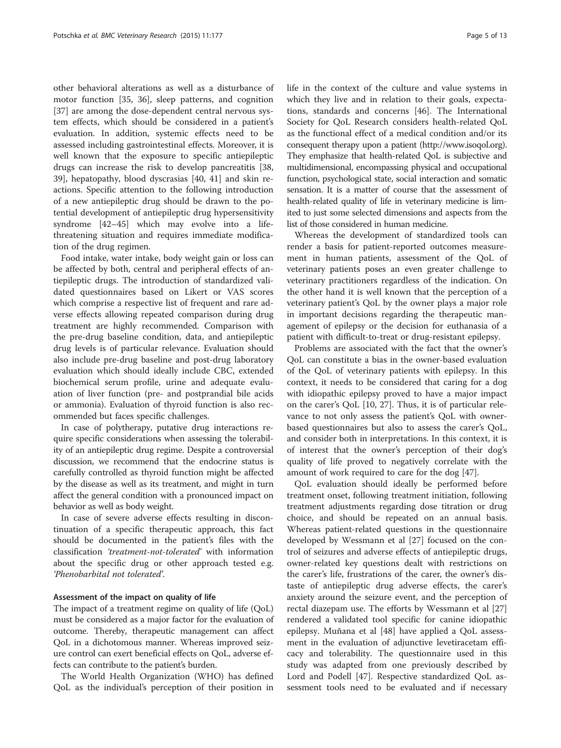other behavioral alterations as well as a disturbance of motor function [\[35](#page-11-0), [36\]](#page-11-0), sleep patterns, and cognition [[37\]](#page-11-0) are among the dose-dependent central nervous system effects, which should be considered in a patient's evaluation. In addition, systemic effects need to be assessed including gastrointestinal effects. Moreover, it is well known that the exposure to specific antiepileptic drugs can increase the risk to develop pancreatitis [[38](#page-11-0), [39\]](#page-11-0), hepatopathy, blood dyscrasias [[40](#page-11-0), [41](#page-11-0)] and skin reactions. Specific attention to the following introduction of a new antiepileptic drug should be drawn to the potential development of antiepileptic drug hypersensitivity syndrome [\[42](#page-11-0)–[45\]](#page-11-0) which may evolve into a lifethreatening situation and requires immediate modification of the drug regimen.

Food intake, water intake, body weight gain or loss can be affected by both, central and peripheral effects of antiepileptic drugs. The introduction of standardized validated questionnaires based on Likert or VAS scores which comprise a respective list of frequent and rare adverse effects allowing repeated comparison during drug treatment are highly recommended. Comparison with the pre-drug baseline condition, data, and antiepileptic drug levels is of particular relevance. Evaluation should also include pre-drug baseline and post-drug laboratory evaluation which should ideally include CBC, extended biochemical serum profile, urine and adequate evaluation of liver function (pre- and postprandial bile acids or ammonia). Evaluation of thyroid function is also recommended but faces specific challenges.

In case of polytherapy, putative drug interactions require specific considerations when assessing the tolerability of an antiepileptic drug regime. Despite a controversial discussion, we recommend that the endocrine status is carefully controlled as thyroid function might be affected by the disease as well as its treatment, and might in turn affect the general condition with a pronounced impact on behavior as well as body weight.

In case of severe adverse effects resulting in discontinuation of a specific therapeutic approach, this fact should be documented in the patient's files with the classification 'treatment-not-tolerated' with information about the specific drug or other approach tested e.g. 'Phenobarbital not tolerated'.

#### Assessment of the impact on quality of life

The impact of a treatment regime on quality of life (QoL) must be considered as a major factor for the evaluation of outcome. Thereby, therapeutic management can affect QoL in a dichotomous manner. Whereas improved seizure control can exert beneficial effects on QoL, adverse effects can contribute to the patient's burden.

The World Health Organization (WHO) has defined QoL as the individual's perception of their position in life in the context of the culture and value systems in which they live and in relation to their goals, expectations, standards and concerns [\[46](#page-11-0)]. The International Society for QoL Research considers health-related QoL as the functional effect of a medical condition and/or its consequent therapy upon a patient ([http://www.isoqol.org](http://www.isoqol.org/)). They emphasize that health-related QoL is subjective and multidimensional, encompassing physical and occupational function, psychological state, social interaction and somatic sensation. It is a matter of course that the assessment of health-related quality of life in veterinary medicine is limited to just some selected dimensions and aspects from the list of those considered in human medicine.

Whereas the development of standardized tools can render a basis for patient-reported outcomes measurement in human patients, assessment of the QoL of veterinary patients poses an even greater challenge to veterinary practitioners regardless of the indication. On the other hand it is well known that the perception of a veterinary patient's QoL by the owner plays a major role in important decisions regarding the therapeutic management of epilepsy or the decision for euthanasia of a patient with difficult-to-treat or drug-resistant epilepsy.

Problems are associated with the fact that the owner's QoL can constitute a bias in the owner-based evaluation of the QoL of veterinary patients with epilepsy. In this context, it needs to be considered that caring for a dog with idiopathic epilepsy proved to have a major impact on the carer's QoL [\[10,](#page-10-0) [27](#page-11-0)]. Thus, it is of particular relevance to not only assess the patient's QoL with ownerbased questionnaires but also to assess the carer's QoL, and consider both in interpretations. In this context, it is of interest that the owner's perception of their dog's quality of life proved to negatively correlate with the amount of work required to care for the dog [[47](#page-11-0)].

QoL evaluation should ideally be performed before treatment onset, following treatment initiation, following treatment adjustments regarding dose titration or drug choice, and should be repeated on an annual basis. Whereas patient-related questions in the questionnaire developed by Wessmann et al [\[27](#page-11-0)] focused on the control of seizures and adverse effects of antiepileptic drugs, owner-related key questions dealt with restrictions on the carer's life, frustrations of the carer, the owner's distaste of antiepileptic drug adverse effects, the carer's anxiety around the seizure event, and the perception of rectal diazepam use. The efforts by Wessmann et al [[27](#page-11-0)] rendered a validated tool specific for canine idiopathic epilepsy. Muñana et al [\[48\]](#page-11-0) have applied a QoL assessment in the evaluation of adjunctive levetiracetam efficacy and tolerability. The questionnaire used in this study was adapted from one previously described by Lord and Podell [[47\]](#page-11-0). Respective standardized QoL assessment tools need to be evaluated and if necessary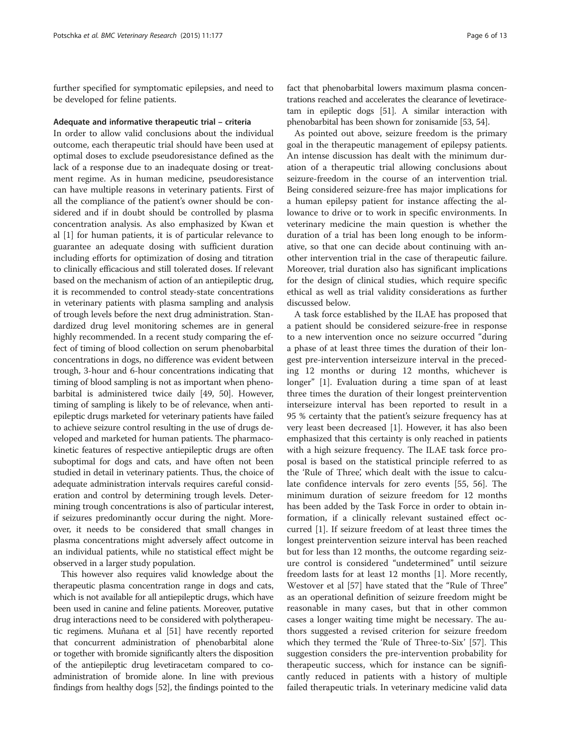further specified for symptomatic epilepsies, and need to be developed for feline patients.

#### Adequate and informative therapeutic trial – criteria

In order to allow valid conclusions about the individual outcome, each therapeutic trial should have been used at optimal doses to exclude pseudoresistance defined as the lack of a response due to an inadequate dosing or treatment regime. As in human medicine, pseudoresistance can have multiple reasons in veterinary patients. First of all the compliance of the patient's owner should be considered and if in doubt should be controlled by plasma concentration analysis. As also emphasized by Kwan et al [\[1](#page-10-0)] for human patients, it is of particular relevance to guarantee an adequate dosing with sufficient duration including efforts for optimization of dosing and titration to clinically efficacious and still tolerated doses. If relevant based on the mechanism of action of an antiepileptic drug, it is recommended to control steady-state concentrations in veterinary patients with plasma sampling and analysis of trough levels before the next drug administration. Standardized drug level monitoring schemes are in general highly recommended. In a recent study comparing the effect of timing of blood collection on serum phenobarbital concentrations in dogs, no difference was evident between trough, 3-hour and 6-hour concentrations indicating that timing of blood sampling is not as important when phenobarbital is administered twice daily [[49](#page-11-0), [50](#page-11-0)]. However, timing of sampling is likely to be of relevance, when antiepileptic drugs marketed for veterinary patients have failed to achieve seizure control resulting in the use of drugs developed and marketed for human patients. The pharmacokinetic features of respective antiepileptic drugs are often suboptimal for dogs and cats, and have often not been studied in detail in veterinary patients. Thus, the choice of adequate administration intervals requires careful consideration and control by determining trough levels. Determining trough concentrations is also of particular interest, if seizures predominantly occur during the night. Moreover, it needs to be considered that small changes in plasma concentrations might adversely affect outcome in an individual patients, while no statistical effect might be observed in a larger study population.

This however also requires valid knowledge about the therapeutic plasma concentration range in dogs and cats, which is not available for all antiepileptic drugs, which have been used in canine and feline patients. Moreover, putative drug interactions need to be considered with polytherapeutic regimens. Muñana et al [[51](#page-11-0)] have recently reported that concurrent administration of phenobarbital alone or together with bromide significantly alters the disposition of the antiepileptic drug levetiracetam compared to coadministration of bromide alone. In line with previous findings from healthy dogs [\[52](#page-11-0)], the findings pointed to the fact that phenobarbital lowers maximum plasma concentrations reached and accelerates the clearance of levetiracetam in epileptic dogs [\[51\]](#page-11-0). A similar interaction with phenobarbital has been shown for zonisamide [\[53, 54](#page-11-0)].

As pointed out above, seizure freedom is the primary goal in the therapeutic management of epilepsy patients. An intense discussion has dealt with the minimum duration of a therapeutic trial allowing conclusions about seizure-freedom in the course of an intervention trial. Being considered seizure-free has major implications for a human epilepsy patient for instance affecting the allowance to drive or to work in specific environments. In veterinary medicine the main question is whether the duration of a trial has been long enough to be informative, so that one can decide about continuing with another intervention trial in the case of therapeutic failure. Moreover, trial duration also has significant implications for the design of clinical studies, which require specific ethical as well as trial validity considerations as further discussed below.

A task force established by the ILAE has proposed that a patient should be considered seizure-free in response to a new intervention once no seizure occurred "during a phase of at least three times the duration of their longest pre-intervention interseizure interval in the preceding 12 months or during 12 months, whichever is longer" [\[1](#page-10-0)]. Evaluation during a time span of at least three times the duration of their longest preintervention interseizure interval has been reported to result in a 95 % certainty that the patient's seizure frequency has at very least been decreased [\[1](#page-10-0)]. However, it has also been emphasized that this certainty is only reached in patients with a high seizure frequency. The ILAE task force proposal is based on the statistical principle referred to as the 'Rule of Three', which dealt with the issue to calculate confidence intervals for zero events [[55](#page-11-0), [56](#page-11-0)]. The minimum duration of seizure freedom for 12 months has been added by the Task Force in order to obtain information, if a clinically relevant sustained effect occurred [\[1\]](#page-10-0). If seizure freedom of at least three times the longest preintervention seizure interval has been reached but for less than 12 months, the outcome regarding seizure control is considered "undetermined" until seizure freedom lasts for at least 12 months [[1\]](#page-10-0). More recently, Westover et al [[57\]](#page-11-0) have stated that the "Rule of Three" as an operational definition of seizure freedom might be reasonable in many cases, but that in other common cases a longer waiting time might be necessary. The authors suggested a revised criterion for seizure freedom which they termed the 'Rule of Three-to-Six' [\[57](#page-11-0)]. This suggestion considers the pre-intervention probability for therapeutic success, which for instance can be significantly reduced in patients with a history of multiple failed therapeutic trials. In veterinary medicine valid data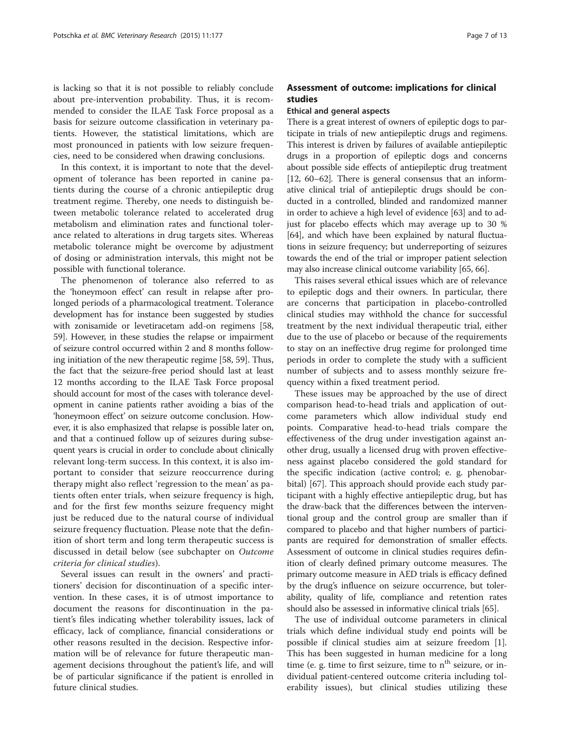is lacking so that it is not possible to reliably conclude about pre-intervention probability. Thus, it is recommended to consider the ILAE Task Force proposal as a basis for seizure outcome classification in veterinary patients. However, the statistical limitations, which are most pronounced in patients with low seizure frequencies, need to be considered when drawing conclusions.

In this context, it is important to note that the development of tolerance has been reported in canine patients during the course of a chronic antiepileptic drug treatment regime. Thereby, one needs to distinguish between metabolic tolerance related to accelerated drug metabolism and elimination rates and functional tolerance related to alterations in drug targets sites. Whereas metabolic tolerance might be overcome by adjustment of dosing or administration intervals, this might not be possible with functional tolerance.

The phenomenon of tolerance also referred to as the 'honeymoon effect' can result in relapse after prolonged periods of a pharmacological treatment. Tolerance development has for instance been suggested by studies with zonisamide or levetiracetam add-on regimens [[58](#page-11-0), [59](#page-11-0)]. However, in these studies the relapse or impairment of seizure control occurred within 2 and 8 months following initiation of the new therapeutic regime [[58, 59\]](#page-11-0). Thus, the fact that the seizure-free period should last at least 12 months according to the ILAE Task Force proposal should account for most of the cases with tolerance development in canine patients rather avoiding a bias of the 'honeymoon effect' on seizure outcome conclusion. However, it is also emphasized that relapse is possible later on, and that a continued follow up of seizures during subsequent years is crucial in order to conclude about clinically relevant long-term success. In this context, it is also important to consider that seizure reoccurrence during therapy might also reflect 'regression to the mean' as patients often enter trials, when seizure frequency is high, and for the first few months seizure frequency might just be reduced due to the natural course of individual seizure frequency fluctuation. Please note that the definition of short term and long term therapeutic success is discussed in detail below (see subchapter on Outcome criteria for clinical studies).

Several issues can result in the owners' and practitioners' decision for discontinuation of a specific intervention. In these cases, it is of utmost importance to document the reasons for discontinuation in the patient's files indicating whether tolerability issues, lack of efficacy, lack of compliance, financial considerations or other reasons resulted in the decision. Respective information will be of relevance for future therapeutic management decisions throughout the patient's life, and will be of particular significance if the patient is enrolled in future clinical studies.

## Assessment of outcome: implications for clinical studies

## Ethical and general aspects

There is a great interest of owners of epileptic dogs to participate in trials of new antiepileptic drugs and regimens. This interest is driven by failures of available antiepileptic drugs in a proportion of epileptic dogs and concerns about possible side effects of antiepileptic drug treatment [[12](#page-10-0), [60](#page-11-0)–[62\]](#page-11-0). There is general consensus that an informative clinical trial of antiepileptic drugs should be conducted in a controlled, blinded and randomized manner in order to achieve a high level of evidence [[63](#page-11-0)] and to adjust for placebo effects which may average up to 30 % [[64](#page-11-0)], and which have been explained by natural fluctuations in seizure frequency; but underreporting of seizures towards the end of the trial or improper patient selection may also increase clinical outcome variability [[65](#page-11-0), [66\]](#page-11-0).

This raises several ethical issues which are of relevance to epileptic dogs and their owners. In particular, there are concerns that participation in placebo-controlled clinical studies may withhold the chance for successful treatment by the next individual therapeutic trial, either due to the use of placebo or because of the requirements to stay on an ineffective drug regime for prolonged time periods in order to complete the study with a sufficient number of subjects and to assess monthly seizure frequency within a fixed treatment period.

These issues may be approached by the use of direct comparison head-to-head trials and application of outcome parameters which allow individual study end points. Comparative head-to-head trials compare the effectiveness of the drug under investigation against another drug, usually a licensed drug with proven effectiveness against placebo considered the gold standard for the specific indication (active control; e. g. phenobarbital) [[67\]](#page-11-0). This approach should provide each study participant with a highly effective antiepileptic drug, but has the draw-back that the differences between the interventional group and the control group are smaller than if compared to placebo and that higher numbers of participants are required for demonstration of smaller effects. Assessment of outcome in clinical studies requires definition of clearly defined primary outcome measures. The primary outcome measure in AED trials is efficacy defined by the drug's influence on seizure occurrence, but tolerability, quality of life, compliance and retention rates should also be assessed in informative clinical trials [\[65\]](#page-11-0).

The use of individual outcome parameters in clinical trials which define individual study end points will be possible if clinical studies aim at seizure freedom [\[1](#page-10-0)]. This has been suggested in human medicine for a long time (e. g. time to first seizure, time to  $n<sup>th</sup>$  seizure, or individual patient-centered outcome criteria including tolerability issues), but clinical studies utilizing these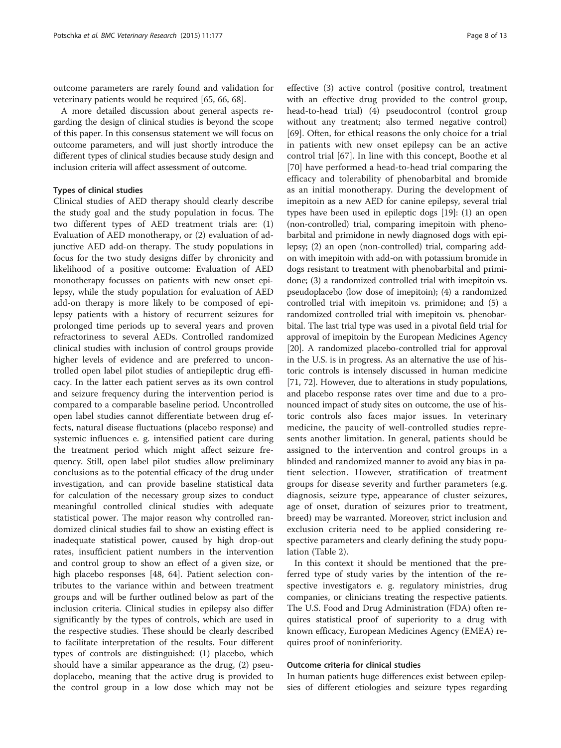outcome parameters are rarely found and validation for veterinary patients would be required [\[65](#page-11-0), [66](#page-11-0), [68\]](#page-12-0).

A more detailed discussion about general aspects regarding the design of clinical studies is beyond the scope of this paper. In this consensus statement we will focus on outcome parameters, and will just shortly introduce the different types of clinical studies because study design and inclusion criteria will affect assessment of outcome.

### Types of clinical studies

Clinical studies of AED therapy should clearly describe the study goal and the study population in focus. The two different types of AED treatment trials are: (1) Evaluation of AED monotherapy, or (2) evaluation of adjunctive AED add-on therapy. The study populations in focus for the two study designs differ by chronicity and likelihood of a positive outcome: Evaluation of AED monotherapy focusses on patients with new onset epilepsy, while the study population for evaluation of AED add-on therapy is more likely to be composed of epilepsy patients with a history of recurrent seizures for prolonged time periods up to several years and proven refractoriness to several AEDs. Controlled randomized clinical studies with inclusion of control groups provide higher levels of evidence and are preferred to uncontrolled open label pilot studies of antiepileptic drug efficacy. In the latter each patient serves as its own control and seizure frequency during the intervention period is compared to a comparable baseline period. Uncontrolled open label studies cannot differentiate between drug effects, natural disease fluctuations (placebo response) and systemic influences e. g. intensified patient care during the treatment period which might affect seizure frequency. Still, open label pilot studies allow preliminary conclusions as to the potential efficacy of the drug under investigation, and can provide baseline statistical data for calculation of the necessary group sizes to conduct meaningful controlled clinical studies with adequate statistical power. The major reason why controlled randomized clinical studies fail to show an existing effect is inadequate statistical power, caused by high drop-out rates, insufficient patient numbers in the intervention and control group to show an effect of a given size, or high placebo responses [\[48, 64](#page-11-0)]. Patient selection contributes to the variance within and between treatment groups and will be further outlined below as part of the inclusion criteria. Clinical studies in epilepsy also differ significantly by the types of controls, which are used in the respective studies. These should be clearly described to facilitate interpretation of the results. Four different types of controls are distinguished: (1) placebo, which should have a similar appearance as the drug, (2) pseudoplacebo, meaning that the active drug is provided to the control group in a low dose which may not be

effective (3) active control (positive control, treatment with an effective drug provided to the control group, head-to-head trial) (4) pseudocontrol (control group without any treatment; also termed negative control) [[69\]](#page-12-0). Often, for ethical reasons the only choice for a trial in patients with new onset epilepsy can be an active control trial [\[67](#page-11-0)]. In line with this concept, Boothe et al [[70\]](#page-12-0) have performed a head-to-head trial comparing the efficacy and tolerability of phenobarbital and bromide as an initial monotherapy. During the development of imepitoin as a new AED for canine epilepsy, several trial types have been used in epileptic dogs [19]: (1) an open (non-controlled) trial, comparing imepitoin with phenobarbital and primidone in newly diagnosed dogs with epilepsy; (2) an open (non-controlled) trial, comparing addon with imepitoin with add-on with potassium bromide in dogs resistant to treatment with phenobarbital and primidone; (3) a randomized controlled trial with imepitoin vs. pseudoplacebo (low dose of imepitoin); (4) a randomized controlled trial with imepitoin vs. primidone; and (5) a randomized controlled trial with imepitoin vs. phenobarbital. The last trial type was used in a pivotal field trial for approval of imepitoin by the European Medicines Agency [20]. A randomized placebo-controlled trial for approval in the U.S. is in progress. As an alternative the use of historic controls is intensely discussed in human medicine [[71](#page-12-0), [72](#page-12-0)]. However, due to alterations in study populations, and placebo response rates over time and due to a pronounced impact of study sites on outcome, the use of historic controls also faces major issues. In veterinary medicine, the paucity of well-controlled studies represents another limitation. In general, patients should be assigned to the intervention and control groups in a blinded and randomized manner to avoid any bias in patient selection. However, stratification of treatment groups for disease severity and further parameters (e.g. diagnosis, seizure type, appearance of cluster seizures, age of onset, duration of seizures prior to treatment, breed) may be warranted. Moreover, strict inclusion and exclusion criteria need to be applied considering respective parameters and clearly defining the study population (Table [2\)](#page-8-0).

In this context it should be mentioned that the preferred type of study varies by the intention of the respective investigators e. g. regulatory ministries, drug companies, or clinicians treating the respective patients. The U.S. Food and Drug Administration (FDA) often requires statistical proof of superiority to a drug with known efficacy, European Medicines Agency (EMEA) requires proof of noninferiority.

#### Outcome criteria for clinical studies

In human patients huge differences exist between epilepsies of different etiologies and seizure types regarding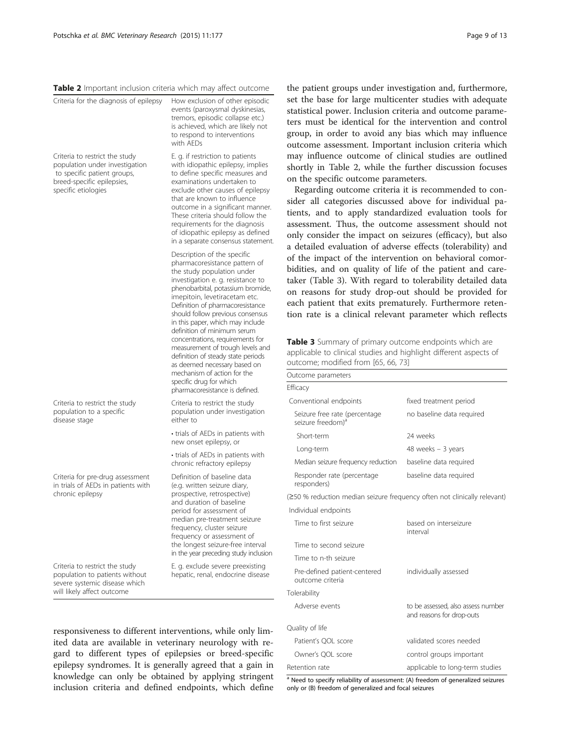<span id="page-8-0"></span>Table 2 Important inclusion criteria which may affect outcome

| Criteria for the diagnosis of epilepsy                                                                                                               | How exclusion of other episodic<br>events (paroxysmal dyskinesias,<br>tremors, episodic collapse etc.)<br>is achieved, which are likely not<br>to respond to interventions<br>with AFDs                                                                                                                                                                                                                                                                                                                                                                                                    |
|------------------------------------------------------------------------------------------------------------------------------------------------------|--------------------------------------------------------------------------------------------------------------------------------------------------------------------------------------------------------------------------------------------------------------------------------------------------------------------------------------------------------------------------------------------------------------------------------------------------------------------------------------------------------------------------------------------------------------------------------------------|
| Criteria to restrict the study<br>population under investigation<br>to specific patient groups,<br>breed-specific epilepsies,<br>specific etiologies | E. g. if restriction to patients<br>with idiopathic epilepsy, implies<br>to define specific measures and<br>examinations undertaken to<br>exclude other causes of epilepsy<br>that are known to influence<br>outcome in a significant manner.<br>These criteria should follow the<br>requirements for the diagnosis<br>of idiopathic epilepsy as defined<br>in a separate consensus statement.                                                                                                                                                                                             |
|                                                                                                                                                      | Description of the specific<br>pharmacoresistance pattern of<br>the study population under<br>investigation e. g. resistance to<br>phenobarbital, potassium bromide,<br>imepitoin, levetiracetam etc.<br>Definition of pharmacoresistance<br>should follow previous consensus<br>in this paper, which may include<br>definition of minimum serum<br>concentrations, requirements for<br>measurement of trough levels and<br>definition of steady state periods<br>as deemed necessary based on<br>mechanism of action for the<br>specific drug for which<br>pharmacoresistance is defined. |
| Criteria to restrict the study<br>population to a specific<br>disease stage                                                                          | Criteria to restrict the study<br>population under investigation<br>either to                                                                                                                                                                                                                                                                                                                                                                                                                                                                                                              |
|                                                                                                                                                      | • trials of AEDs in patients with<br>new onset epilepsy, or                                                                                                                                                                                                                                                                                                                                                                                                                                                                                                                                |
|                                                                                                                                                      | • trials of AEDs in patients with<br>chronic refractory epilepsy                                                                                                                                                                                                                                                                                                                                                                                                                                                                                                                           |
| Criteria for pre-drug assessment<br>in trials of AEDs in patients with<br>chronic epilepsy                                                           | Definition of baseline data<br>(e.g. written seizure diary,<br>prospective, retrospective)<br>and duration of baseline<br>period for assessment of<br>median pre-treatment seizure<br>frequency, cluster seizure<br>frequency or assessment of<br>the longest seizure-free interval<br>in the year preceding study inclusion                                                                                                                                                                                                                                                               |
| Criteria to restrict the study<br>population to patients without<br>severe systemic disease which<br>will likely affect outcome                      | E. g. exclude severe preexisting<br>hepatic, renal, endocrine disease                                                                                                                                                                                                                                                                                                                                                                                                                                                                                                                      |

the patient groups under investigation and, furthermore, set the base for large multicenter studies with adequate statistical power. Inclusion criteria and outcome parameters must be identical for the intervention and control group, in order to avoid any bias which may influence outcome assessment. Important inclusion criteria which may influence outcome of clinical studies are outlined shortly in Table 2, while the further discussion focuses on the specific outcome parameters.

Regarding outcome criteria it is recommended to consider all categories discussed above for individual patients, and to apply standardized evaluation tools for assessment. Thus, the outcome assessment should not only consider the impact on seizures (efficacy), but also a detailed evaluation of adverse effects (tolerability) and of the impact of the intervention on behavioral comorbidities, and on quality of life of the patient and caretaker (Table 3). With regard to tolerability detailed data on reasons for study drop-out should be provided for each patient that exits prematurely. Furthermore retention rate is a clinical relevant parameter which reflects

Table 3 Summary of primary outcome endpoints which are applicable to clinical studies and highlight different aspects of outcome; modified from [\[65](#page-11-0), [66,](#page-11-0) [73\]](#page-12-0)

| Outcome parameters                                                       |                                                                 |  |  |  |  |
|--------------------------------------------------------------------------|-----------------------------------------------------------------|--|--|--|--|
| Efficacy                                                                 |                                                                 |  |  |  |  |
| Conventional endpoints                                                   | fixed treatment period                                          |  |  |  |  |
| Seizure free rate (percentage<br>seizure freedom) <sup>a</sup>           | no baseline data required                                       |  |  |  |  |
| Short-term                                                               | 24 weeks                                                        |  |  |  |  |
| Long-term                                                                | 48 weeks $-3$ years                                             |  |  |  |  |
| Median seizure frequency reduction                                       | baseline data required                                          |  |  |  |  |
| Responder rate (percentage<br>responders)                                | baseline data required                                          |  |  |  |  |
| (≥50 % reduction median seizure frequency often not clinically relevant) |                                                                 |  |  |  |  |
| Individual endpoints                                                     |                                                                 |  |  |  |  |
| Time to first seizure                                                    | based on interseizure<br>interval                               |  |  |  |  |
| Time to second seizure                                                   |                                                                 |  |  |  |  |
| Time to n-th seizure                                                     |                                                                 |  |  |  |  |
| Pre-defined patient-centered<br>outcome criteria                         | individually assessed                                           |  |  |  |  |
| Tolerability                                                             |                                                                 |  |  |  |  |
| Adverse events                                                           | to be assessed, also assess number<br>and reasons for drop-outs |  |  |  |  |
| Quality of life                                                          |                                                                 |  |  |  |  |
| Patient's QOL score                                                      | validated scores needed                                         |  |  |  |  |
| Owner's OOL score                                                        | control groups important                                        |  |  |  |  |
| Retention rate                                                           | applicable to long-term studies                                 |  |  |  |  |

<sup>a</sup> Need to specify reliability of assessment: (A) freedom of generalized seizures only or (B) freedom of generalized and focal seizures

responsiveness to different interventions, while only limited data are available in veterinary neurology with regard to different types of epilepsies or breed-specific epilepsy syndromes. It is generally agreed that a gain in knowledge can only be obtained by applying stringent inclusion criteria and defined endpoints, which define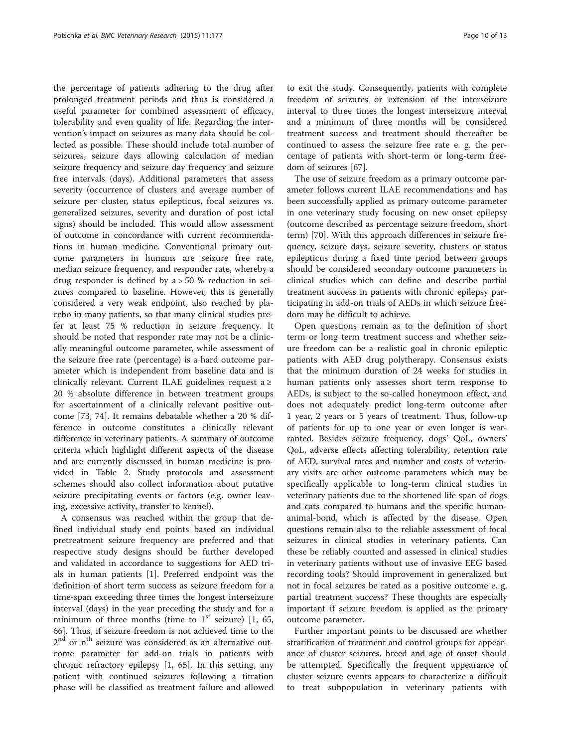the percentage of patients adhering to the drug after prolonged treatment periods and thus is considered a useful parameter for combined assessment of efficacy, tolerability and even quality of life. Regarding the intervention's impact on seizures as many data should be collected as possible. These should include total number of seizures, seizure days allowing calculation of median seizure frequency and seizure day frequency and seizure free intervals (days). Additional parameters that assess severity (occurrence of clusters and average number of seizure per cluster, status epilepticus, focal seizures vs. generalized seizures, severity and duration of post ictal signs) should be included. This would allow assessment of outcome in concordance with current recommendations in human medicine. Conventional primary outcome parameters in humans are seizure free rate, median seizure frequency, and responder rate, whereby a drug responder is defined by  $a > 50$  % reduction in seizures compared to baseline. However, this is generally considered a very weak endpoint, also reached by placebo in many patients, so that many clinical studies prefer at least 75 % reduction in seizure frequency. It should be noted that responder rate may not be a clinically meaningful outcome parameter, while assessment of the seizure free rate (percentage) is a hard outcome parameter which is independent from baseline data and is clinically relevant. Current ILAE guidelines request a ≥ 20 % absolute difference in between treatment groups for ascertainment of a clinically relevant positive outcome [\[73](#page-12-0), [74\]](#page-12-0). It remains debatable whether a 20 % difference in outcome constitutes a clinically relevant difference in veterinary patients. A summary of outcome criteria which highlight different aspects of the disease and are currently discussed in human medicine is provided in Table [2](#page-8-0). Study protocols and assessment schemes should also collect information about putative seizure precipitating events or factors (e.g. owner leaving, excessive activity, transfer to kennel).

A consensus was reached within the group that defined individual study end points based on individual pretreatment seizure frequency are preferred and that respective study designs should be further developed and validated in accordance to suggestions for AED trials in human patients [[1\]](#page-10-0). Preferred endpoint was the definition of short term success as seizure freedom for a time-span exceeding three times the longest interseizure interval (days) in the year preceding the study and for a minimum of three months (time to  $1<sup>st</sup>$  seizure) [\[1,](#page-10-0) [65](#page-11-0), [66\]](#page-11-0). Thus, if seizure freedom is not achieved time to the  $2<sup>nd</sup>$  or n<sup>th</sup> seizure was considered as an alternative outcome parameter for add-on trials in patients with chronic refractory epilepsy [\[1](#page-10-0), [65\]](#page-11-0). In this setting, any patient with continued seizures following a titration phase will be classified as treatment failure and allowed

to exit the study. Consequently, patients with complete freedom of seizures or extension of the interseizure interval to three times the longest interseizure interval and a minimum of three months will be considered treatment success and treatment should thereafter be continued to assess the seizure free rate e. g. the percentage of patients with short-term or long-term freedom of seizures [\[67](#page-11-0)].

The use of seizure freedom as a primary outcome parameter follows current ILAE recommendations and has been successfully applied as primary outcome parameter in one veterinary study focusing on new onset epilepsy (outcome described as percentage seizure freedom, short term) [[70](#page-12-0)]. With this approach differences in seizure frequency, seizure days, seizure severity, clusters or status epilepticus during a fixed time period between groups should be considered secondary outcome parameters in clinical studies which can define and describe partial treatment success in patients with chronic epilepsy participating in add-on trials of AEDs in which seizure freedom may be difficult to achieve.

Open questions remain as to the definition of short term or long term treatment success and whether seizure freedom can be a realistic goal in chronic epileptic patients with AED drug polytherapy. Consensus exists that the minimum duration of 24 weeks for studies in human patients only assesses short term response to AEDs, is subject to the so-called honeymoon effect, and does not adequately predict long-term outcome after 1 year, 2 years or 5 years of treatment. Thus, follow-up of patients for up to one year or even longer is warranted. Besides seizure frequency, dogs' QoL, owners' QoL, adverse effects affecting tolerability, retention rate of AED, survival rates and number and costs of veterinary visits are other outcome parameters which may be specifically applicable to long-term clinical studies in veterinary patients due to the shortened life span of dogs and cats compared to humans and the specific humananimal-bond, which is affected by the disease. Open questions remain also to the reliable assessment of focal seizures in clinical studies in veterinary patients. Can these be reliably counted and assessed in clinical studies in veterinary patients without use of invasive EEG based recording tools? Should improvement in generalized but not in focal seizures be rated as a positive outcome e. g. partial treatment success? These thoughts are especially important if seizure freedom is applied as the primary outcome parameter.

Further important points to be discussed are whether stratification of treatment and control groups for appearance of cluster seizures, breed and age of onset should be attempted. Specifically the frequent appearance of cluster seizure events appears to characterize a difficult to treat subpopulation in veterinary patients with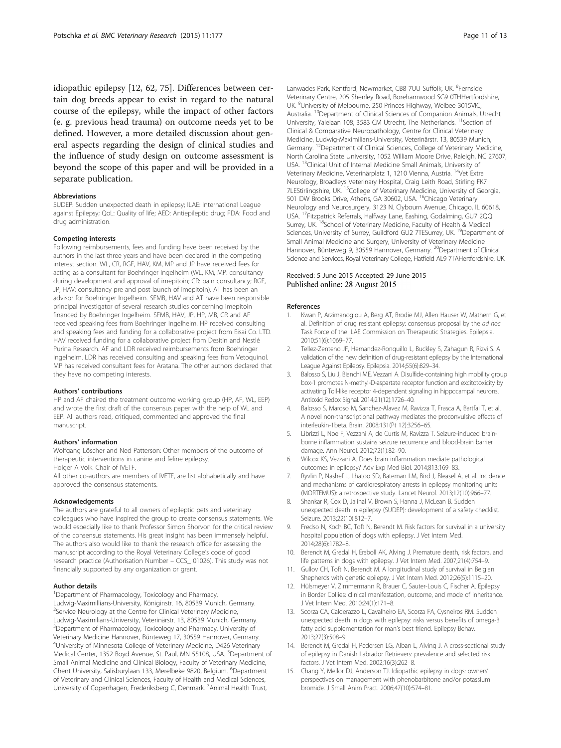<span id="page-10-0"></span>idiopathic epilepsy [12, [62,](#page-11-0) [75\]](#page-12-0). Differences between certain dog breeds appear to exist in regard to the natural course of the epilepsy, while the impact of other factors (e. g. previous head trauma) on outcome needs yet to be defined. However, a more detailed discussion about general aspects regarding the design of clinical studies and the influence of study design on outcome assessment is beyond the scope of this paper and will be provided in a separate publication.

#### Abbreviations

SUDEP: Sudden unexpected death in epilepsy; ILAE: International League against Epilepsy; QoL: Quality of life; AED: Antiepileptic drug; FDA: Food and drug administration.

#### Competing interests

Following reimbursements, fees and funding have been received by the authors in the last three years and have been declared in the competing interest section. WL, CR, RGF, HAV, KM, MP and JP have received fees for acting as a consultant for Boehringer Ingelheim (WL, KM, MP: consultancy during development and approval of imepitoin; CR: pain consultancy; RGF, JP, HAV: consultancy pre and post launch of imepitoin). AT has been an advisor for Boehringer Ingelheim. SFMB, HAV and AT have been responsible principal investigator of several research studies concerning imepitoin financed by Boehringer Ingelheim. SFMB, HAV, JP, HP, MB, CR and AF received speaking fees from Boehringer Ingelheim. HP received consulting and speaking fees and funding for a collaborative project from Eisai Co. LTD. HAV received funding for a collaborative project from Desitin and Nestlé Purina Research. AF and LDR received reimbursements from Boehringer Ingelheim. LDR has received consulting and speaking fees from Vetoquinol. MP has received consultant fees for Aratana. The other authors declared that they have no competing interests.

#### Authors' contributions

HP and AF chaired the treatment outcome working group (HP, AF, WL, EEP) and wrote the first draft of the consensus paper with the help of WL and EEP. All authors read, critiqued, commented and approved the final manuscript.

#### Authors' information

Wolfgang Löscher and Ned Patterson: Other members of the outcome of therapeutic interventions in canine and feline epilepsy.

Holger A Volk: Chair of IVETF.

All other co-authors are members of IVETF, are list alphabetically and have approved the consensus statements.

#### Acknowledgements

The authors are grateful to all owners of epileptic pets and veterinary colleagues who have inspired the group to create consensus statements. We would especially like to thank Professor Simon Shorvon for the critical review of the consensus statements. His great insight has been immensely helpful. The authors also would like to thank the research office for assessing the manuscript according to the Royal Veterinary College's code of good research practice (Authorisation Number – CCS\_ 01026). This study was not financially supported by any organization or grant.

#### Author details

<sup>1</sup>Department of Pharmacology, Toxicology and Pharmacy,

Ludwig-Maximillians-University, Königinstr. 16, 80539 Munich, Germany. <sup>2</sup>Service Neurology at the Centre for Clinical Veterinary Medicine, Ludwig-Maximilians-University, Veterinärstr. 13, 80539 Munich, Germany. <sup>3</sup>Department of Pharmacology, Toxicology and Pharmacy, University of Veterinary Medicine Hannover, Bünteweg 17, 30559 Hannover, Germany. 4 University of Minnesota College of Veterinary Medicine, D426 Veterinary Medical Center, 1352 Boyd Avenue, St. Paul, MN 55108, USA. <sup>5</sup>Department of Small Animal Medicine and Clinical Biology, Faculty of Veterinary Medicine, Ghent University, Salisburylaan 133, Merelbeke 9820, Belgium. <sup>6</sup>Department of Veterinary and Clinical Sciences, Faculty of Health and Medical Sciences, University of Copenhagen, Frederiksberg C, Denmark. <sup>7</sup> Animal Health Trust,

Lanwades Park, Kentford, Newmarket, CB8 7UU Suffolk, UK. <sup>8</sup>Fernside Veterinary Centre, 205 Shenley Road, Borehamwood SG9 0THHertfordshire, UK. <sup>9</sup>University of Melbourne, 250 Princes Highway, Weibee 3015VIC, Australia. <sup>10</sup>Department of Clinical Sciences of Companion Animals, Utrecht University, Yalelaan 108, 3583 CM Utrecht, The Netherlands. <sup>11</sup>Section of Clinical & Comparative Neuropathology, Centre for Clinical Veterinary Medicine, Ludwig-Maximilians-University, Veterinärstr. 13, 80539 Munich, Germany. 12Department of Clinical Sciences, College of Veterinary Medicine, North Carolina State University, 1052 William Moore Drive, Raleigh, NC 27607, USA. 13Clinical Unit of Internal Medicine Small Animals, University of Veterinary Medicine, Veterinärplatz 1, 1210 Vienna, Austria. <sup>14</sup>Vet Extra Neurology, Broadleys Veterinary Hospital, Craig Leith Road, Stirling FK7 7LEStirlingshire, UK. 15College of Veterinary Medicine, University of Georgia, 501 DW Brooks Drive, Athens, GA 30602, USA. 16Chicago Veterinary Neurology and Neurosurgery, 3123 N. Clybourn Avenue, Chicago, IL 60618, USA. 17Fitzpatrick Referrals, Halfway Lane, Eashing, Godalming, GU7 2QQ Surrey, UK. <sup>18</sup>School of Veterinary Medicine, Faculty of Health & Medical Sciences, University of Surrey, Guildford GU2 7TESurrey, UK. <sup>19</sup>Department of Small Animal Medicine and Surgery, University of Veterinary Medicine Hannover, Bünteweg 9, 30559 Hannover, Germany. <sup>20</sup>Department of Clinical Science and Services, Royal Veterinary College, Hatfield AL9 7TAHertfordshire, UK.

#### Received: 5 June 2015 Accepted: 29 June 2015 Published online: 28 August 2015

#### References

- 1. Kwan P, Arzimanoglou A, Berg AT, Brodie MJ, Allen Hauser W, Mathern G, et al. Definition of drug resistant epilepsy: consensus proposal by the ad hoc Task Force of the ILAE Commission on Therapeutic Strategies. Epilepsia. 2010;51(6):1069–77.
- 2. Tellez-Zenteno JF, Hernandez-Ronquillo L, Buckley S, Zahagun R, Rizvi S. A validation of the new definition of drug-resistant epilepsy by the International League Against Epilepsy. Epilepsia. 2014;55(6):829–34.
- Balosso S, Liu J, Bianchi ME, Vezzani A. Disulfide-containing high mobility group box-1 promotes N-methyl-D-aspartate receptor function and excitotoxicity by activating Toll-like receptor 4-dependent signaling in hippocampal neurons. Antioxid Redox Signal. 2014;21(12):1726–40.
- 4. Balosso S, Maroso M, Sanchez-Alavez M, Ravizza T, Frasca A, Bartfai T, et al. A novel non-transcriptional pathway mediates the proconvulsive effects of interleukin-1beta. Brain. 2008;131(Pt 12):3256–65.
- Librizzi L, Noe F, Vezzani A, de Curtis M, Ravizza T. Seizure-induced brainborne inflammation sustains seizure recurrence and blood-brain barrier damage. Ann Neurol. 2012;72(1):82–90.
- 6. Wilcox KS, Vezzani A. Does brain inflammation mediate pathological outcomes in epilepsy? Adv Exp Med Biol. 2014;813:169–83.
- 7. Ryvlin P, Nashef L, Lhatoo SD, Bateman LM, Bird J, Bleasel A, et al. Incidence and mechanisms of cardiorespiratory arrests in epilepsy monitoring units (MORTEMUS): a retrospective study. Lancet Neurol. 2013;12(10):966–77.
- Shankar R, Cox D, Jalihal V, Brown S, Hanna J, McLean B. Sudden unexpected death in epilepsy (SUDEP): development of a safety checklist. Seizure. 2013;22(10):812–7.
- 9. Fredso N, Koch BC, Toft N, Berendt M. Risk factors for survival in a university hospital population of dogs with epilepsy. J Vet Intern Med. 2014;28(6):1782–8.
- 10. Berendt M, Gredal H, Ersboll AK, Alving J. Premature death, risk factors, and life patterns in dogs with epilepsy. J Vet Intern Med. 2007;21(4):754–9.
- 11. Gullov CH, Toft N, Berendt M. A longitudinal study of survival in Belgian Shepherds with genetic epilepsy. J Vet Intern Med. 2012;26(5):1115–20.
- 12. Hülsmeyer V, Zimmermann R, Brauer C, Sauter-Louis C, Fischer A. Epilepsy in Border Collies: clinical manifestation, outcome, and mode of inheritance. J Vet Intern Med. 2010;24(1):171–8.
- 13. Scorza CA, Calderazzo L, Cavalheiro EA, Scorza FA, Cysneiros RM. Sudden unexpected death in dogs with epilepsy: risks versus benefits of omega-3 fatty acid supplementation for man's best friend. Epilepsy Behav. 2013;27(3):508–9.
- 14. Berendt M, Gredal H, Pedersen LG, Alban L, Alving J. A cross-sectional study of epilepsy in Danish Labrador Retrievers: prevalence and selected risk factors. J Vet Intern Med. 2002;16(3):262–8.
- 15. Chang Y, Mellor DJ, Anderson TJ. Idiopathic epilepsy in dogs: owners' perspectives on management with phenobarbitone and/or potassium bromide. J Small Anim Pract. 2006;47(10):574–81.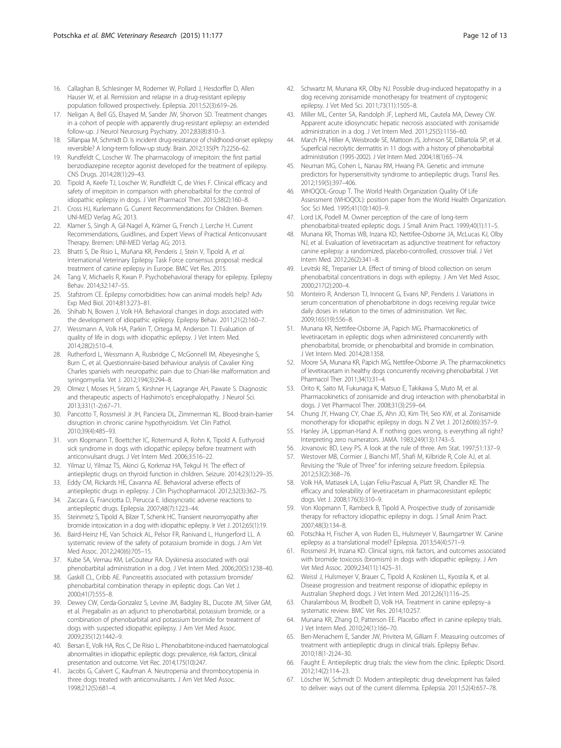- <span id="page-11-0"></span>16. Callaghan B, Schlesinger M, Rodemer W, Pollard J, Hesdorffer D, Allen Hauser W, et al. Remission and relapse in a drug-resistant epilepsy population followed prospectively. Epilepsia. 2011;52(3):619–26.
- 17. Neligan A, Bell GS, Elsayed M, Sander JW, Shorvon SD. Treatment changes in a cohort of people with apparently drug-resistant epilepsy: an extended follow-up. J Neurol Neurosurg Psychiatry. 2012;83(8):810–3.
- 18. Sillanpaa M, Schmidt D. Is incident drug-resistance of childhood-onset epilepsy reversible? A long-term follow-up study. Brain. 2012;135(Pt 7):2256–62.
- 19. Rundfeldt C, Loscher W. The pharmacology of imepitoin: the first partial benzodiazepine receptor agonist developed for the treatment of epilepsy. CNS Drugs. 2014;28(1):29–43.
- 20. Tipold A, Keefe TJ, Loscher W, Rundfeldt C, de Vries F, Clinical efficacy and safety of imepitoin in comparison with phenobarbital for the control of idiopathic epilepsy in dogs. J Vet Pharmacol Ther. 2015;38(2):160–8.
- 21. Cross HJ, Kurlemann G. Current Recommendations for Children. Bremen: UNI-MED Verlag AG; 2013.
- 22. Klamer S, Singh A, Gil-Nagel A, Krämer G, French J, Lerche H. Current Recommendations, Guidlines, and Expert Views of Practical Anticonvusant Therapy. Bremen: UNI-MED Verlag AG; 2013.
- 23. Bhatti S, De Risio L, Muñana KR, Penderis J, Stein V, Tipold A, et al. International Veterinary Epilepsy Task Force consensus proposal: medical treatment of canine epilepsy in Europe. BMC Vet Res. 2015.
- 24. Tang V, Michaelis R, Kwan P. Psychobehavioral therapy for epilepsy. Epilepsy Behav. 2014;32:147–55.
- 25. Stafstrom CE. Epilepsy comorbidities: how can animal models help? Adv Exp Med Biol. 2014;813:273–81.
- 26. Shihab N, Bowen J, Volk HA. Behavioral changes in dogs associated with the development of idiopathic epilepsy. Epilepsy Behav. 2011;21(2):160–7.
- 27. Wessmann A, Volk HA, Parkin T, Ortega M, Anderson TJ. Evaluation of quality of life in dogs with idiopathic epilepsy. J Vet Intern Med. 2014;28(2):510–4.
- 28. Rutherford L, Wessmann A, Rusbridge C, McGonnell IM, Abeyesinghe S, Burn C, et al. Questionnaire-based behaviour analysis of Cavalier King Charles spaniels with neuropathic pain due to Chiari-like malformation and syringomyelia. Vet J. 2012;194(3):294–8.
- 29. Olmez I, Moses H, Sriram S, Kirshner H, Lagrange AH, Pawate S. Diagnostic and therapeutic aspects of Hashimoto's encephalopathy. J Neurol Sci. 2013;331(1-2):67–71.
- 30. Pancotto T, Rossmeisl Jr JH, Panciera DL, Zimmerman KL. Blood-brain-barrier disruption in chronic canine hypothyroidism. Vet Clin Pathol. 2010;39(4):485–93.
- 31. von Klopmann T, Boettcher IC, Rotermund A, Rohn K, Tipold A. Euthyroid sick syndrome in dogs with idiopathic epilepsy before treatment with anticonvulsant drugs. J Vet Intern Med. 2006;3:516–22.
- 32. Yilmaz U, Yilmaz TS, Akinci G, Korkmaz HA, Tekgul H. The effect of antiepileptic drugs on thyroid function in children. Seizure. 2014;23(1):29–35.
- 33. Eddy CM, Rickards HE, Cavanna AE. Behavioral adverse effects of antiepileptic drugs in epilepsy. J Clin Psychopharmacol. 2012;32(3):362–75.
- 34. Zaccara G, Franciotta D, Perucca E. Idiosyncratic adverse reactions to antiepileptic drugs. Epilepsia. 2007;48(7):1223–44.
- 35. Steinmetz S, Tipold A, Bilzer T, Schenk HC. Transient neuromyopathy after bromide intoxication in a dog with idiopathic epilepsy. Ir Vet J. 2012;65(1):19.
- 36. Baird-Heinz HE, Van Schoick AL, Pelsor FR, Ranivand L, Hungerford LL. A systematic review of the safety of potassium bromide in dogs. J Am Vet Med Assoc. 2012;240(6):705–15.
- 37. Kube SA, Vernau KM, LeCouteur RA. Dyskinesia associated with oral phenobarbital administration in a dog. J Vet Intern Med. 2006;20(5):1238–40.
- 38. Gaskill CL, Cribb AE. Pancreatitis associated with potassium bromide/ phenobarbital combination therapy in epileptic dogs. Can Vet J. 2000;41(7):555–8.
- 39. Dewey CW, Cerda-Gonzalez S, Levine JM, Badgley BL, Ducote JM, Silver GM, et al. Pregabalin as an adjunct to phenobarbital, potassium bromide, or a combination of phenobarbital and potassium bromide for treatment of dogs with suspected idiopathic epilepsy. J Am Vet Med Assoc. 2009;235(12):1442–9.
- 40. Bersan E, Volk HA, Ros C, De Risio L. Phenobarbitone-induced haematological abnormalities in idiopathic epileptic dogs: prevalence, risk factors, clinical presentation and outcome. Vet Rec. 2014;175(10):247.
- 41. Jacobs G, Calvert C, Kaufman A. Neutropenia and thrombocytopenia in three dogs treated with anticonvulsants. J Am Vet Med Assoc. 1998;212(5):681–4.
- 42. Schwartz M, Munana KR, Olby NJ. Possible drug-induced hepatopathy in a dog receiving zonisamide monotherapy for treatment of cryptogenic epilepsy. J Vet Med Sci. 2011;73(11):1505–8.
- 43. Miller ML, Center SA, Randolph JF, Lepherd ML, Cautela MA, Dewey CW. Apparent acute idiosyncratic hepatic necrosis associated with zonisamide administration in a dog. J Vet Intern Med. 2011;25(5):1156–60.
- 44. March PA, Hillier A, Weisbrode SE, Mattoon JS, Johnson SE, DiBartola SP, et al. Superficial necrolytic dermatitis in 11 dogs with a history of phenobarbital administration (1995-2002). J Vet Intern Med. 2004;18(1):65–74.
- 45. Neuman MG, Cohen L, Nanau RM, Hwang PA. Genetic and immune predictors for hypersensitivity syndrome to antiepileptic drugs. Transl Res. 2012;159(5):397–406.
- 46. WHOQOL-Group T. The World Health Organization Quality Of Life Assessment (WHOQOL): position paper from the World Health Organization. Soc Sci Med. 1995;41(10):1403–9.
- 47. Lord LK, Podell M. Owner perception of the care of long-term phenobarbital-treated epileptic dogs. J Small Anim Pract. 1999;40(1):11–5.
- Munana KR, Thomas WB, Inzana KD, Nettifee-Osborne JA, McLucas KJ, Olby NJ, et al. Evaluation of levetiracetam as adjunctive treatment for refractory canine epilepsy: a randomized, placebo-controlled, crossover trial. J Vet Intern Med. 2012;26(2):341–8.
- 49. Levitski RE, Trepanier LA. Effect of timing of blood collection on serum phenobarbital concentrations in dogs with epilepsy. J Am Vet Med Assoc. 2000;217(2):200–4.
- 50. Monteiro R, Anderson TJ, Innocent G, Evans NP, Penderis J. Variations in serum concentration of phenobarbitone in dogs receiving regular twice daily doses in relation to the times of administration. Vet Rec. 2009;165(19):556–8.
- 51. Munana KR, Nettifee-Osborne JA, Papich MG. Pharmacokinetics of levetiracetam in epileptic dogs when administered concurrently with phenobarbital, bromide, or phenobarbital and bromide in combination. J Vet Intern Med. 2014;28:1358.
- 52. Moore SA, Munana KR, Papich MG, Nettifee-Osborne JA. The pharmacokinetics of levetiracetam in healthy dogs concurrently receiving phenobarbital. J Vet Pharmacol Ther. 2011;34(1):31–4.
- 53. Orito K, Saito M, Fukunaga K, Matsuo E, Takikawa S, Muto M, et al. Pharmacokinetics of zonisamide and drug interaction with phenobarbital in dogs. J Vet Pharmacol Ther. 2008;31(3):259–64.
- 54. Chung JY, Hwang CY, Chae JS, Ahn JO, Kim TH, Seo KW, et al. Zonisamide monotherapy for idiopathic epilepsy in dogs. N Z Vet J. 2012;60(6):357–9.
- 55. Hanley JA, Lippman-Hand A. If nothing goes wrong, is everything all right? Interpreting zero numerators. JAMA. 1983;249(13):1743–5.
- Jovanovic BD, Levy PS. A look at the rule of three. Am Stat. 1997;51:137-9.
- 57. Westover MB, Cormier J, Bianchi MT, Shafi M, Kilbride R, Cole AJ, et al. Revising the "Rule of Three" for inferring seizure freedom. Epilepsia. 2012;53(2):368–76.
- 58. Volk HA, Matiasek LA, Lujan Feliu-Pascual A, Platt SR, Chandler KE. The efficacy and tolerability of levetiracetam in pharmacoresistant epileptic dogs. Vet J. 2008;176(3):310–9.
- Von Klopmann T, Rambeck B, Tipold A. Prospective study of zonisamide therapy for refractory idiopathic epilepsy in dogs. J Small Anim Pract. 2007;48(3):134–8.
- 60. Potschka H, Fischer A, von Ruden EL, Hulsmeyer V, Baumgartner W. Canine epilepsy as a translational model? Epilepsia. 2013;54(4):571–9.
- 61. Rossmeisl JH, Inzana KD. Clinical signs, risk factors, and outcomes associated with bromide toxicosis (bromism) in dogs with idiopathic epilepsy. J Am Vet Med Assoc. 2009;234(11):1425–31.
- 62. Weissl J, Hulsmeyer V, Brauer C, Tipold A, Koskinen LL, Kyostila K, et al. Disease progression and treatment response of idiopathic epilepsy in Australian Shepherd dogs. J Vet Intern Med. 2012;26(1):116–25.
- 63. Charalambous M, Brodbelt D, Volk HA. Treatment in canine epilepsy–a systematic review. BMC Vet Res. 2014;10:257.
- 64. Munana KR, Zhang D, Patterson EE. Placebo effect in canine epilepsy trials. J Vet Intern Med. 2010;24(1):166–70.
- 65. Ben-Menachem E, Sander JW, Privitera M, Gilliam F. Measuring outcomes of treatment with antiepileptic drugs in clinical trials. Epilepsy Behav. 2010;18(1-2):24–30.
- 66. Faught E. Antiepileptic drug trials: the view from the clinic. Epileptic Disord. 2012;14(2):114–23.
- 67. Löscher W, Schmidt D. Modern antiepileptic drug development has failed to deliver: ways out of the current dilemma. Epilepsia. 2011;52(4):657–78.